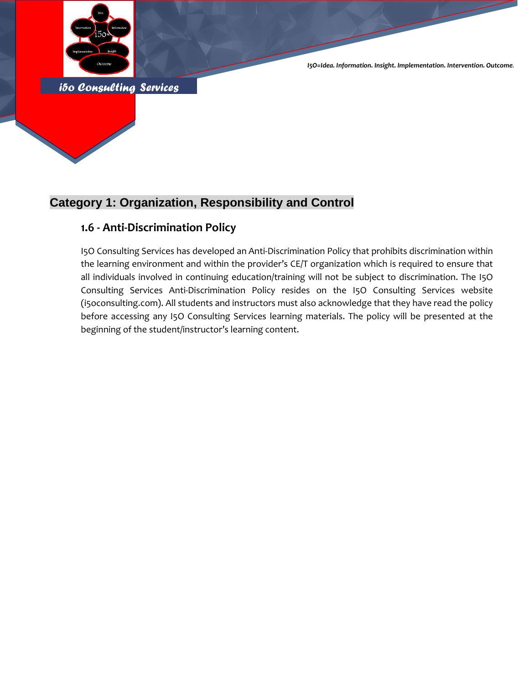

*i5o Consulting Services* 

*I5O=Idea. Information. Insight. Implementation. Intervention. Outcome.*

## **Category 1: Organization, Responsibility and Control**

### **1.6 - Anti-Discrimination Policy**

I5O Consulting Services has developed an Anti-Discrimination Policy that prohibits discrimination within the learning environment and within the provider's CE/T organization which is required to ensure that all individuals involved in continuing education/training will not be subject to discrimination. The I5O Consulting Services Anti-Discrimination Policy resides on the I5O Consulting Services website (i5oconsulting.com). All students and instructors must also acknowledge that they have read the policy before accessing any I5O Consulting Services learning materials. The policy will be presented at the beginning of the student/instructor's learning content.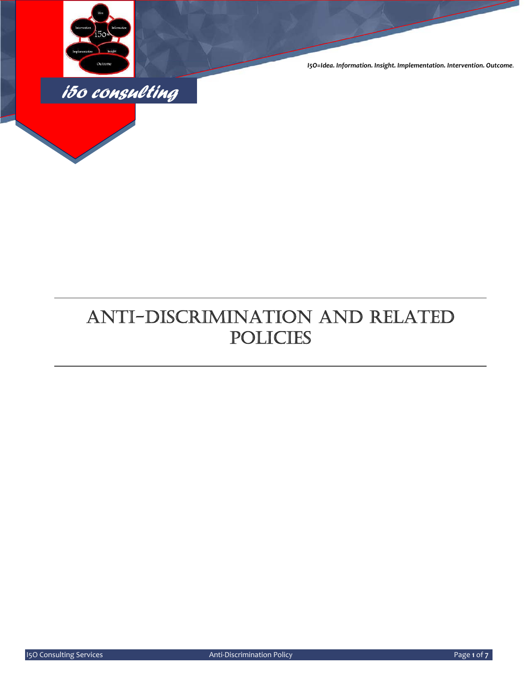

*I5O=Idea. Information. Insight. Implementation. Intervention. Outcome.*

# ANTI-DISCRIMINATION AND RELATED POLICIES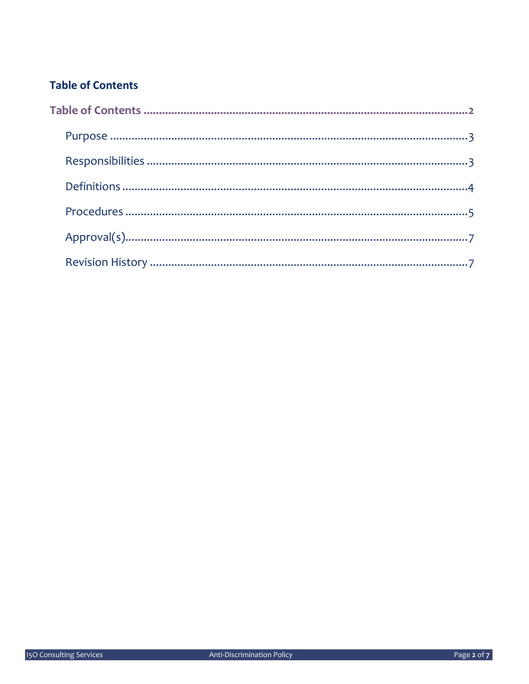## **Table of Contents**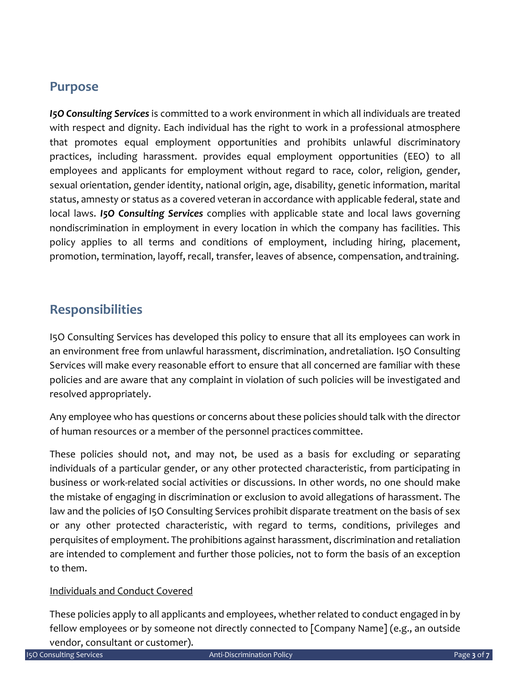## **Purpose**

*I5O Consulting Services* is committed to a work environment in which all individuals are treated with respect and dignity. Each individual has the right to work in a professional atmosphere that promotes equal employment opportunities and prohibits unlawful discriminatory practices, including harassment. provides equal employment opportunities (EEO) to all employees and applicants for employment without regard to race, color, religion, gender, sexual orientation, gender identity, national origin, age, disability, genetic information, marital status, amnesty or status as a covered veteran in accordance with applicable federal, state and local laws. *I5O Consulting Services* complies with applicable state and local laws governing nondiscrimination in employment in every location in which the company has facilities. This policy applies to all terms and conditions of employment, including hiring, placement, promotion, termination, layoff, recall, transfer, leaves of absence, compensation, andtraining.

## **Responsibilities**

I5O Consulting Services has developed this policy to ensure that all its employees can work in an environment free from unlawful harassment, discrimination, andretaliation. I5O Consulting Services will make every reasonable effort to ensure that all concerned are familiar with these policies and are aware that any complaint in violation of such policies will be investigated and resolved appropriately.

Any employee who has questions or concerns about these policies should talk with the director of human resources or a member of the personnel practices committee.

These policies should not, and may not, be used as a basis for excluding or separating individuals of a particular gender, or any other protected characteristic, from participating in business or work‐related social activities or discussions. In other words, no one should make the mistake of engaging in discrimination or exclusion to avoid allegations of harassment. The law and the policies of I5O Consulting Services prohibit disparate treatment on the basis of sex or any other protected characteristic, with regard to terms, conditions, privileges and perquisites of employment. The prohibitions against harassment, discrimination and retaliation are intended to complement and further those policies, not to form the basis of an exception to them.

#### Individuals and Conduct Covered

These policies apply to all applicants and employees, whether related to conduct engaged in by fellow employees or by someone not directly connected to [Company Name] (e.g., an outside vendor, consultant or customer).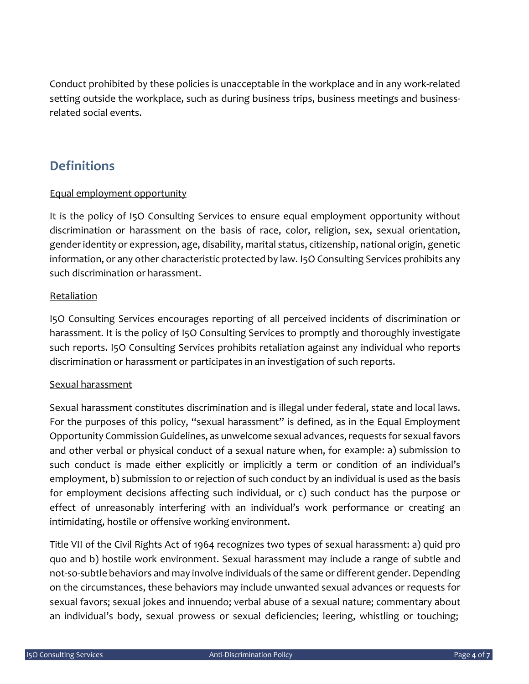Conduct prohibited by these policies is unacceptable in the workplace and in any work‐related setting outside the workplace, such as during business trips, business meetings and business‐ related social events.

## **Definitions**

#### Equal employment opportunity

It is the policy of I5O Consulting Services to ensure equal employment opportunity without discrimination or harassment on the basis of race, color, religion, sex, sexual orientation, gender identity or expression, age, disability, marital status, citizenship, national origin, genetic information, or any other characteristic protected by law. I5O Consulting Services prohibits any such discrimination or harassment.

#### Retaliation

I5O Consulting Services encourages reporting of all perceived incidents of discrimination or harassment. It is the policy of I5O Consulting Services to promptly and thoroughly investigate such reports. I5O Consulting Services prohibits retaliation against any individual who reports discrimination or harassment or participates in an investigation of such reports.

#### Sexual harassment

Sexual harassment constitutes discrimination and is illegal under federal, state and local laws. For the purposes of this policy, "sexual harassment" is defined, as in the Equal Employment Opportunity Commission Guidelines, as unwelcome sexual advances,requests for sexual favors and other verbal or physical conduct of a sexual nature when, for example: a) submission to such conduct is made either explicitly or implicitly a term or condition of an individual's employment, b) submission to or rejection of such conduct by an individual is used as the basis for employment decisions affecting such individual, or c) such conduct has the purpose or effect of unreasonably interfering with an individual's work performance or creating an intimidating, hostile or offensive working environment.

Title VII of the Civil Rights Act of 1964 recognizes two types of sexual harassment: a) quid pro quo and b) hostile work environment. Sexual harassment may include a range of subtle and not-so-subtle behaviors and may involve individuals of the same or different gender. Depending on the circumstances, these behaviors may include unwanted sexual advances or requests for sexual favors; sexual jokes and innuendo; verbal abuse of a sexual nature; commentary about an individual's body, sexual prowess or sexual deficiencies; leering, whistling or touching;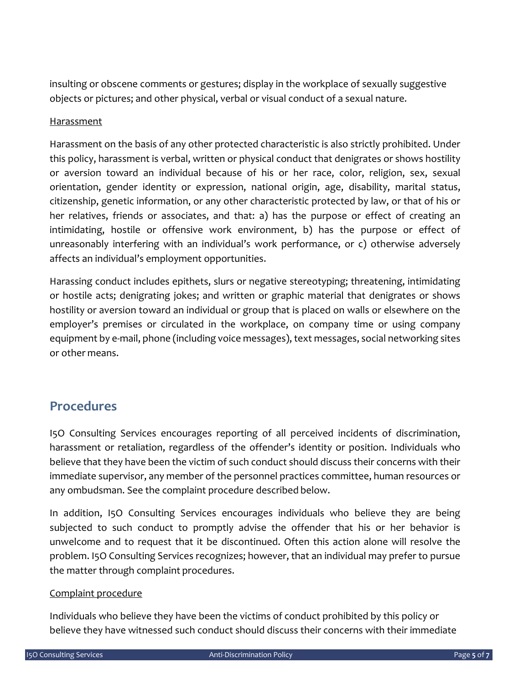insulting or obscene comments or gestures; display in the workplace of sexually suggestive objects or pictures; and other physical, verbal or visual conduct of a sexual nature.

#### Harassment

Harassment on the basis of any other protected characteristic is also strictly prohibited. Under this policy, harassment is verbal, written or physical conduct that denigrates or shows hostility or aversion toward an individual because of his or her race, color, religion, sex, sexual orientation, gender identity or expression, national origin, age, disability, marital status, citizenship, genetic information, or any other characteristic protected by law, or that of his or her relatives, friends or associates, and that: a) has the purpose or effect of creating an intimidating, hostile or offensive work environment, b) has the purpose or effect of unreasonably interfering with an individual's work performance, or c) otherwise adversely affects an individual's employment opportunities.

Harassing conduct includes epithets, slurs or negative stereotyping; threatening, intimidating or hostile acts; denigrating jokes; and written or graphic material that denigrates or shows hostility or aversion toward an individual or group that is placed on walls or elsewhere on the employer's premises or circulated in the workplace, on company time or using company equipment by e‐mail, phone (including voice messages), text messages, social networking sites or other means.

### **Procedures**

I5O Consulting Services encourages reporting of all perceived incidents of discrimination, harassment or retaliation, regardless of the offender's identity or position. Individuals who believe that they have been the victim of such conduct should discuss their concerns with their immediate supervisor, any member of the personnel practices committee, human resources or any ombudsman. See the complaint procedure described below.

In addition, I5O Consulting Services encourages individuals who believe they are being subjected to such conduct to promptly advise the offender that his or her behavior is unwelcome and to request that it be discontinued. Often this action alone will resolve the problem. I5O Consulting Services recognizes; however, that an individual may prefer to pursue the matter through complaint procedures.

#### Complaint procedure

Individuals who believe they have been the victims of conduct prohibited by this policy or believe they have witnessed such conduct should discuss their concerns with their immediate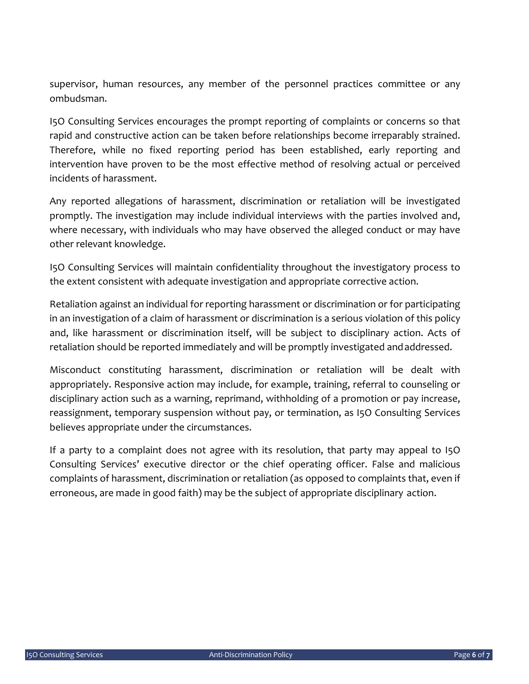supervisor, human resources, any member of the personnel practices committee or any ombudsman.

I5O Consulting Services encourages the prompt reporting of complaints or concerns so that rapid and constructive action can be taken before relationships become irreparably strained. Therefore, while no fixed reporting period has been established, early reporting and intervention have proven to be the most effective method of resolving actual or perceived incidents of harassment.

Any reported allegations of harassment, discrimination or retaliation will be investigated promptly. The investigation may include individual interviews with the parties involved and, where necessary, with individuals who may have observed the alleged conduct or may have other relevant knowledge.

I5O Consulting Services will maintain confidentiality throughout the investigatory process to the extent consistent with adequate investigation and appropriate corrective action.

Retaliation against an individual for reporting harassment or discrimination or for participating in an investigation of a claim of harassment or discrimination is a serious violation of this policy and, like harassment or discrimination itself, will be subject to disciplinary action. Acts of retaliation should be reported immediately and will be promptly investigated andaddressed.

Misconduct constituting harassment, discrimination or retaliation will be dealt with appropriately. Responsive action may include, for example, training, referral to counseling or disciplinary action such as a warning, reprimand, withholding of a promotion or pay increase, reassignment, temporary suspension without pay, or termination, as I5O Consulting Services believes appropriate under the circumstances.

If a party to a complaint does not agree with its resolution, that party may appeal to I5O Consulting Services' executive director or the chief operating officer. False and malicious complaints of harassment, discrimination or retaliation (as opposed to complaints that, even if erroneous, are made in good faith) may be the subject of appropriate disciplinary action.